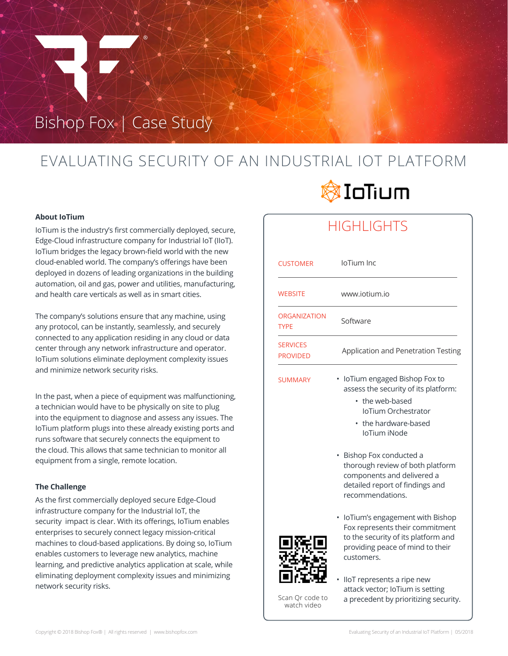# Bishop Fox | Case Study

## EVALUATING SECURITY OF AN INDUSTRIAL IOT PLATFORM

### **About IoTium**

IoTium is the industry's first commercially deployed, secure, Edge-Cloud infrastructure company for Industrial IoT (IIoT). IoTium bridges the legacy brown-field world with the new cloud-enabled world. The company's offerings have been deployed in dozens of leading organizations in the building automation, oil and gas, power and utilities, manufacturing, and health care verticals as well as in smart cities.

The company's solutions ensure that any machine, using any protocol, can be instantly, seamlessly, and securely connected to any application residing in any cloud or data center through any network infrastructure and operator. IoTium solutions eliminate deployment complexity issues and minimize network security risks.

In the past, when a piece of equipment was malfunctioning, a technician would have to be physically on site to plug into the equipment to diagnose and assess any issues. The IoTium platform plugs into these already existing ports and runs software that securely connects the equipment to the cloud. This allows that same technician to monitor all equipment from a single, remote location.

### **The Challenge**

As the first commercially deployed secure Edge-Cloud infrastructure company for the Industrial IoT, the security impact is clear. With its offerings, IoTium enables enterprises to securely connect legacy mission-critical machines to cloud-based applications. By doing so, IoTium enables customers to leverage new analytics, machine learning, and predictive analytics application at scale, while eliminating deployment complexity issues and minimizing network security risks.



### **HIGHLIGHTS**

| <b>CUSTOMER</b>                    | loTium Inc                                                                                                                                                  |
|------------------------------------|-------------------------------------------------------------------------------------------------------------------------------------------------------------|
| <b>WEBSITE</b>                     | www.jotium.jo                                                                                                                                               |
| <b>ORGANIZATION</b><br><b>TYPE</b> | Software                                                                                                                                                    |
| <b>SERVICES</b><br><b>PROVIDED</b> | Application and Penetration Testing                                                                                                                         |
| <b>SUMMARY</b>                     | loTium engaged Bishop Fox to<br>assess the security of its platform:<br>• the web-based<br>loTium Orchestrator<br>• the hardware-based<br>IoTium iNode      |
|                                    | Bishop Fox conducted a<br>thorough review of both platform<br>components and delivered a<br>detailed report of findings and<br>recommendations.             |
|                                    | loTium's engagement with Bishop<br>Fox represents their commitment<br>to the security of its platform and<br>providing peace of mind to their<br>customers. |
| Scan Qr code to                    | lloT represents a ripe new<br>attack vector; loTium is setting<br>a precedent by prioritizing security.                                                     |

watch video

Copyright © 2018 Bishop Fox® | All rights reserved | www.bishopfox.com example of an Industrial IoT Platform | 05/2018